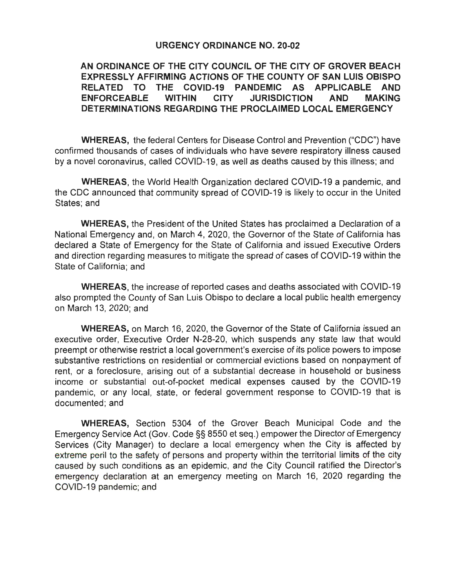## **URGENCY ORDINANCE NO. 20-02**

## **AN ORDINANCE OF THE CITY COUNCIL OF THE CITY OF GROVER BEACH EXPRESSLY AFFIRMING ACTIONS OF THE COUNTY OF SAN LUIS OBISPO RELATED TO THE COVID-19 PANDEMIC AS APPLICABLE AND ENFORCEABLE WITHIN CITY JURISDICTION AND MAKING DETERMINATIONS REGARDING THE PROCLAIMED LOCAL EMERGENCY**

**WHEREAS,** the federal Centers for Disease Control and Prevention ("CDC") have confirmed thousands of cases of individuals who have severe respiratory illness caused by a novel coronavirus, called COVID-19, as well as deaths caused by this illness; and

**WHEREAS,** the World Health Organization declared COVID-19 a pandemic, and the CDC announced that community spread of COVID-19 is likely to occur in the United States; and

**WHEREAS,** the President of the United States has proclaimed a Declaration of a National Emergency and, on March 4, 2020, the Governor of the State of California has declared a State of Emergency for the State of California and issued Executive Orders and direction regarding measures to mitigate the spread of cases of COVID-19 within the State of California; and

**WHEREAS,** the increase of reported cases and deaths associated with COVID-19 also prompted the County of San Luis Obispo to declare a local public health emergency on March 13, 2020; and

**WHEREAS,** on March 16, 2020, the Governor of the State of California issued an executive order, Executive Order N-28-20, which suspends any state law that would preempt or otherwise restrict a local government's exercise of its police powers to impose substantive restrictions on residential or commercial evictions based on nonpayment of rent, or a foreclosure, arising out of a substantial decrease in household or business income or substantial out-of-pocket medical expenses caused by the COVID-19 pandemic, or any local, state, or federal government response to COVID-19 that is documented; and

**WHEREAS,** Section 5304 of the Grover Beach Municipal Code and the Emergency Service Act (Gov. Code§§ 8550 et seq.) empower the Director of Emergency Services (City Manager) to declare a local emergency when the City is affected by extreme peril to the safety of persons and property within the territorial limits of the city caused by such conditions as an epidemic, and the City Council ratified the Director's emergency declaration at an emergency meeting on March 16, 2020 regarding the COVID-19 pandemic; and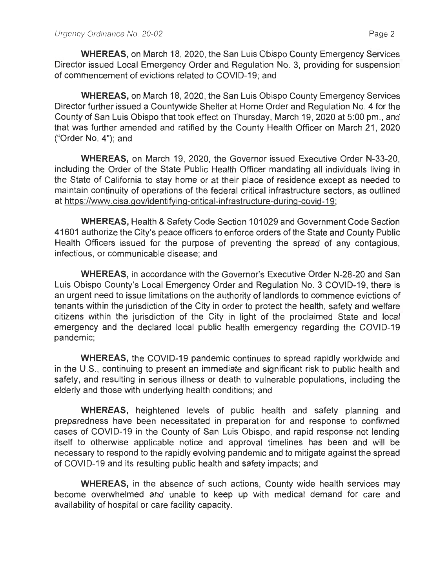**WHEREAS,** on March 18, 2020, the San Luis Obispo County Emergency Services Director issued Local Emergency Order and Regulation No. 3, providing for suspension of commencement of evictions related to COVID-19; and

**WHEREAS,** on March 18, 2020, the San Luis Obispo County Emergency Services Director further issued a Countywide Shelter at Home Order and Regulation No. 4 for the County of San Luis Obispo that took effect on Thursday, March 19, 2020 at 5:00 pm., and that was further amended and ratified by the County Health Officer on March 21 , 2020 ("Order No. 4"); and

**WHEREAS,** on March 19, 2020, the Governor issued Executive Order N-33-20, including the Order of the State Public Health Officer mandating all individuals living in the State of California to stay home or at their place of residence except as needed to maintain continuity of operations of the federal critical infrastructure sectors, as outlined at https://www.cisa.gov/identifying-critical-infrastructure-during-covid-19;

**WHEREAS,** Health & Safety Code Section 101029 and Government Code Section 41601 authorize the City's peace officers to enforce orders of the State and County Public Health Officers issued for the purpose of preventing the spread of any contagious, infectious, or communicable disease; and

**WHEREAS,** in accordance with the Governor's Executive Order N-28-20 and San Luis Obispo County's Local Emergency Order and Regulation No. 3 COVID-19, there is an urgent need to issue limitations on the authority of landlords to commence evictions of tenants within the jurisdiction of the City in order to protect the health, safety and welfare citizens within the jurisdiction of the City in light of the proclaimed State and local emergency and the declared local public health emergency regarding the COVID-19 pandemic;

**WHEREAS,** the COVID-19 pandemic continues to spread rapidly worldwide and in the U.S., continuing to present an immediate and significant risk to public health and safety, and resulting in serious illness or death to vulnerable populations, including the elderly and those with underlying health conditions; and

**WHEREAS,** heightened levels of public health and safety planning and preparedness have been necessitated in preparation for and response to confirmed cases of COVID-19 in the County of San Luis Obispo, and rapid response not lending itself to otherwise applicable notice and approval timelines has been and will be necessary to respond to the rapidly evolving pandemic and to mitigate against the spread of COVID-19 and its resulting public health and safety impacts; and

**WHEREAS,** in the absence of such actions, County wide health services may become overwhelmed and unable to keep up with medical demand for care and availability of hospital or care facility capacity.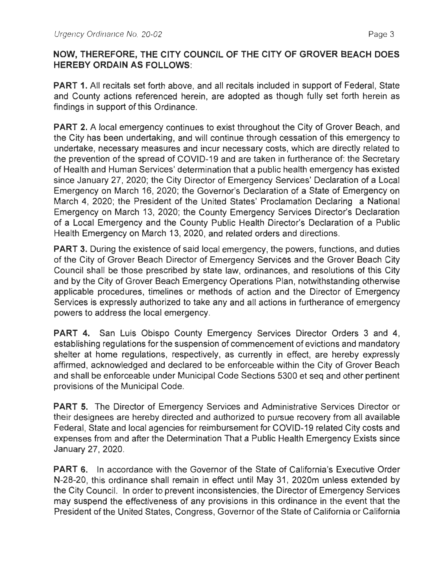## **NOW, THEREFORE, THE CITY COUNCIL OF THE CITY OF GROVER BEACH DOES HEREBY ORDAIN AS FOLLOWS:**

**PART 1.** All recitals set forth above, and all recitals included in support of Federal, State and County actions referenced herein, are adopted as though fully set forth herein as findings in support of this Ordinance.

**PART 2.** A local emergency continues to exist throughout the City of Grover Beach, and the City has been undertaking, and will continue through cessation of this emergency to undertake, necessary measures and incur necessary costs, which are directly related to the prevention of the spread of COVID-19 and are taken in furtherance of: the Secretary of Health and Human Services' determination that a public health emergency has existed since January 27, 2020; the City Director of Emergency Services' Declaration of a Local Emergency on March 16, 2020; the Governor's Declaration of a State of Emergency on March 4, 2020; the President of the United States' Proclamation Declaring a National Emergency on March 13, 2020; the County Emergency Services Director's Declaration of a Local Emergency and the County Public Health Director's Declaration of a Public Health Emergency on March 13, 2020, and related orders and directions.

**PART 3.** During the existence of said local emergency, the powers, functions, and duties of the City of Grover Beach Director of Emergency Services and the Grover Beach City Council shall be those prescribed by state law, ordinances, and resolutions of this City and by the City of Grover Beach Emergency Operations Plan, notwithstanding otherwise applicable procedures, timelines or methods of action and the Director of Emergency Services is expressly authorized to take any and all actions in furtherance of emergency powers to address the local emergency.

**PART 4.** San Luis Obispo County Emergency Services Director Orders 3 and 4, establishing regulations for the suspension of commencement of evictions and mandatory shelter at home regulations, respectively, as currently in effect, are hereby expressly affirmed, acknowledged and declared to be enforceable within the City of Grover Beach and shall be enforceable under Municipal Code Sections 5300 et seq and other pertinent provisions of the Municipal Code.

**PART 5.** The Director of Emergency Services and Administrative Services Director or their designees are hereby directed and authorized to pursue recovery from all available Federal, State and local agencies for reimbursement for COVID-19 related City costs and expenses from and after the Determination That a Public Health Emergency Exists since January 27, 2020.

**PART 6.** In accordance with the Governor of the State of California's Executive Order N-28-20, this ordinance shall remain in effect until May 31, 2020m unless extended by the City Council. In order to prevent inconsistencies, the Director of Emergency Services may suspend the effectiveness of any provisions in this ordinance in the event that the President of the United States, Congress, Governor of the State of California or California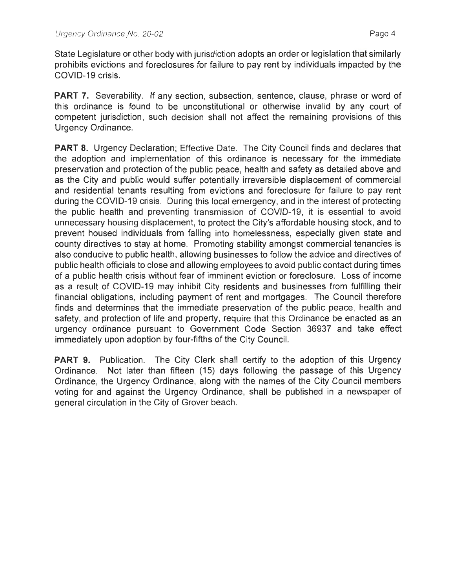State Legislature or other body with jurisdiction adopts an order or legislation that similarly prohibits evictions and foreclosures for failure to pay rent by individuals impacted by the COVID-19 crisis.

**PART 7.** Severability. If any section, subsection, sentence, clause, phrase or word of this ordinance is found to be unconstitutional or otherwise invalid by any court of competent jurisdiction, such decision shall not affect the remaining provisions of this Urgency Ordinance.

**PART 8.** Urgency Declaration: Effective Date. The City Council finds and declares that the adoption and implementation of this ordinance is necessary for the immediate preservation and protection of the public peace, health and safety as detailed above and as the City and public would suffer potentially irreversible displacement of commercial and residential tenants resulting from evictions and foreclosure for failure to pay rent during the COVID-19 crisis. During this local emergency, and in the interest of protecting the public health and preventing transmission of COVID-19, it is essential to avoid unnecessary housing displacement, to protect the City's affordable housing stock, and to prevent housed individuals from falling into homelessness, especially given state and county directives to stay at home. Promoting stability amongst commercial tenancies is also conducive to public health, allowing businesses to follow the advice and directives of public health officials to close and allowing employees to avoid public contact during times of a public health crisis without fear of imminent eviction or foreclosure. Loss of income as a result of COVID-19 may inhibit City residents and businesses from fulfilling their financial obligations, including payment of rent and mortgages. The Council therefore finds and determines that the immediate preservation of the public peace, health and safety, and protection of life and property, require that this Ordinance be enacted as an urgency ordinance pursuant to Government Code Section 36937 and take effect immediately upon adoption by four-fifths of the City Council.

**PART 9.** Publication. The City Clerk shall certify to the adoption of this Urgency Ordinance. Not later than fifteen (15) days following the passage of this Urgency Ordinance, the Urgency Ordinance, along with the names of the City Council members voting for and against the Urgency Ordinance, shall be published in a newspaper of general circulation in the City of Grover beach.